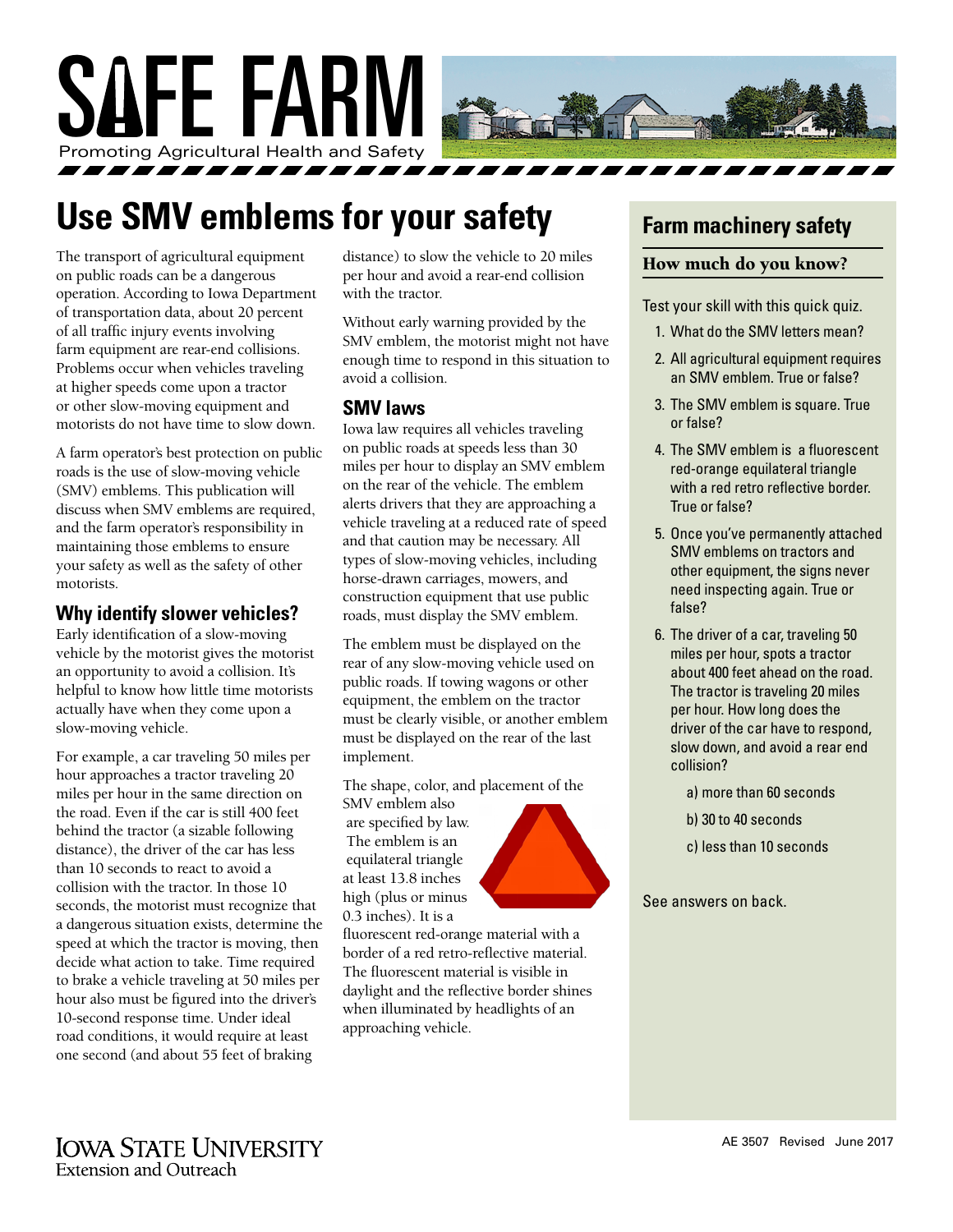

# **Use SMV emblems for your safety**

The transport of agricultural equipment on public roads can be a dangerous operation. According to Iowa Department of transportation data, about 20 percent of all traffic injury events involving farm equipment are rear-end collisions. Problems occur when vehicles traveling at higher speeds come upon a tractor or other slow-moving equipment and motorists do not have time to slow down.

A farm operator's best protection on public roads is the use of slow-moving vehicle (SMV) emblems. This publication will discuss when SMV emblems are required, and the farm operator's responsibility in maintaining those emblems to ensure your safety as well as the safety of other motorists.

### **Why identify slower vehicles?**

Early identification of a slow-moving vehicle by the motorist gives the motorist an opportunity to avoid a collision. It's helpful to know how little time motorists actually have when they come upon a slow-moving vehicle.

For example, a car traveling 50 miles per hour approaches a tractor traveling 20 miles per hour in the same direction on the road. Even if the car is still 400 feet behind the tractor (a sizable following distance), the driver of the car has less than 10 seconds to react to avoid a collision with the tractor. In those 10 seconds, the motorist must recognize that a dangerous situation exists, determine the speed at which the tractor is moving, then decide what action to take. Time required to brake a vehicle traveling at 50 miles per hour also must be figured into the driver's 10-second response time. Under ideal road conditions, it would require at least one second (and about 55 feet of braking

distance) to slow the vehicle to 20 miles per hour and avoid a rear-end collision with the tractor.

Without early warning provided by the SMV emblem, the motorist might not have enough time to respond in this situation to avoid a collision.

# **SMV laws**

Iowa law requires all vehicles traveling on public roads at speeds less than 30 miles per hour to display an SMV emblem on the rear of the vehicle. The emblem alerts drivers that they are approaching a vehicle traveling at a reduced rate of speed and that caution may be necessary. All types of slow-moving vehicles, including horse-drawn carriages, mowers, and construction equipment that use public roads, must display the SMV emblem.

The emblem must be displayed on the rear of any slow-moving vehicle used on public roads. If towing wagons or other equipment, the emblem on the tractor must be clearly visible, or another emblem must be displayed on the rear of the last implement.

The shape, color, and placement of the

SMV emblem also are specified by law. The emblem is an equilateral triangle at least 13.8 inches high (plus or minus 0.3 inches). It is a



fluorescent red-orange material with a border of a red retro-reflective material. The fluorescent material is visible in daylight and the reflective border shines when illuminated by headlights of an approaching vehicle.

# **Farm machinery safety**

### How much do you know?

Test your skill with this quick quiz.

- 1. What do the SMV letters mean?
- 2. All agricultural equipment requires an SMV emblem. True or false?
- 3. The SMV emblem is square. True or false?
- 4. The SMV emblem is a fluorescent red-orange equilateral triangle with a red retro reflective border. True or false?
- 5. Once you've permanently attached SMV emblems on tractors and other equipment, the signs never need inspecting again. True or false?
- 6. The driver of a car, traveling 50 miles per hour, spots a tractor about 400 feet ahead on the road. The tractor is traveling 20 miles per hour. How long does the driver of the car have to respond, slow down, and avoid a rear end collision?
	- a) more than 60 seconds
	- b) 30 to 40 seconds
	- c) less than 10 seconds

See answers on back.